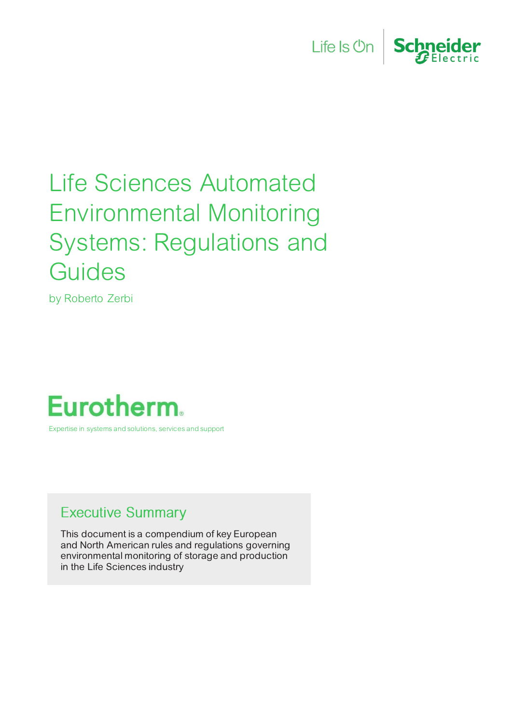



# Life Sciences Automated Environmental Monitoring Systems: Regulations and **Guides**

by Roberto Zerbi

# **Eurotherm.**

Expertise in systems and solutions, services and support

# <span id="page-0-0"></span>**Executive Summary**

This document is a compendium of key European and North American rules and regulations governing environmental monitoring of storage and production in the Life Sciences industry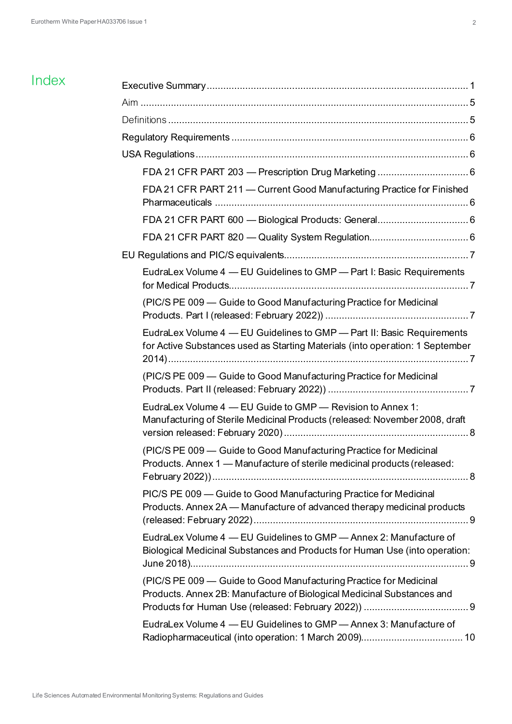# Index

| FDA 21 CFR PART 211 - Current Good Manufacturing Practice for Finished                                                                                  |  |
|---------------------------------------------------------------------------------------------------------------------------------------------------------|--|
|                                                                                                                                                         |  |
|                                                                                                                                                         |  |
|                                                                                                                                                         |  |
| EudraLex Volume 4 - EU Guidelines to GMP - Part I: Basic Requirements                                                                                   |  |
| (PIC/S PE 009 – Guide to Good Manufacturing Practice for Medicinal                                                                                      |  |
| EudraLex Volume 4 - EU Guidelines to GMP - Part II: Basic Requirements<br>for Active Substances used as Starting Materials (into operation: 1 September |  |
| (PIC/S PE 009 - Guide to Good Manufacturing Practice for Medicinal                                                                                      |  |
| EudraLex Volume 4 - EU Guide to GMP - Revision to Annex 1:<br>Manufacturing of Sterile Medicinal Products (released: November 2008, draft               |  |
| (PIC/S PE 009 - Guide to Good Manufacturing Practice for Medicinal<br>Products. Annex 1 - Manufacture of sterile medicinal products (released:          |  |
| PIC/S PE 009 - Guide to Good Manufacturing Practice for Medicinal<br>Products. Annex 2A - Manufacture of advanced therapy medicinal products            |  |
| EudraLex Volume 4 - EU Guidelines to GMP - Annex 2: Manufacture of<br>Biological Medicinal Substances and Products for Human Use (into operation:       |  |
| (PIC/S PE 009 - Guide to Good Manufacturing Practice for Medicinal<br>Products. Annex 2B: Manufacture of Biological Medicinal Substances and            |  |
| EudraLex Volume 4 - EU Guidelines to GMP - Annex 3: Manufacture of                                                                                      |  |
|                                                                                                                                                         |  |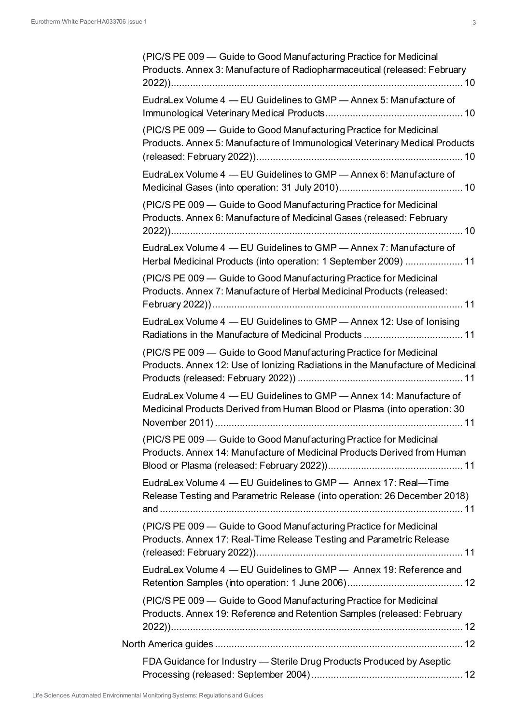| (PIC/S PE 009 - Guide to Good Manufacturing Practice for Medicinal<br>Products. Annex 3: Manufacture of Radiopharmaceutical (released: February      |
|------------------------------------------------------------------------------------------------------------------------------------------------------|
| EudraLex Volume 4 - EU Guidelines to GMP - Annex 5: Manufacture of                                                                                   |
| (PIC/S PE 009 - Guide to Good Manufacturing Practice for Medicinal<br>Products. Annex 5: Manufacture of Immunological Veterinary Medical Products    |
| EudraLex Volume 4 - EU Guidelines to GMP - Annex 6: Manufacture of                                                                                   |
| (PIC/S PE 009 - Guide to Good Manufacturing Practice for Medicinal<br>Products. Annex 6: Manufacture of Medicinal Gases (released: February          |
| EudraLex Volume 4 - EU Guidelines to GMP - Annex 7: Manufacture of<br>Herbal Medicinal Products (into operation: 1 September 2009)  11               |
| (PIC/S PE 009 - Guide to Good Manufacturing Practice for Medicinal<br>Products. Annex 7: Manufacture of Herbal Medicinal Products (released:         |
| EudraLex Volume 4 - EU Guidelines to GMP - Annex 12: Use of lonising                                                                                 |
| (PIC/S PE 009 - Guide to Good Manufacturing Practice for Medicinal<br>Products. Annex 12: Use of lonizing Radiations in the Manufacture of Medicinal |
| EudraLex Volume 4 - EU Guidelines to GMP - Annex 14: Manufacture of<br>Medicinal Products Derived from Human Blood or Plasma (into operation: 30     |
| (PIC/S PE 009 - Guide to Good Manufacturing Practice for Medicinal<br>Products. Annex 14: Manufacture of Medicinal Products Derived from Human       |
| EudraLex Volume 4 - EU Guidelines to GMP - Annex 17: Real-Time<br>Release Testing and Parametric Release (into operation: 26 December 2018)          |
| (PIC/S PE 009 - Guide to Good Manufacturing Practice for Medicinal<br>Products. Annex 17: Real-Time Release Testing and Parametric Release           |
| EudraLex Volume 4 - EU Guidelines to GMP - Annex 19: Reference and                                                                                   |
| (PIC/S PE 009 - Guide to Good Manufacturing Practice for Medicinal<br>Products. Annex 19: Reference and Retention Samples (released: February        |
|                                                                                                                                                      |
| FDA Guidance for Industry - Sterile Drug Products Produced by Aseptic                                                                                |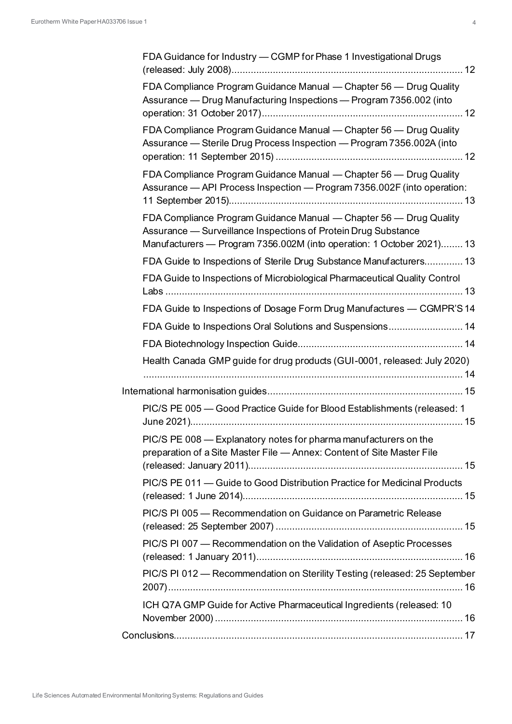| FDA Guidance for Industry - CGMP for Phase 1 Investigational Drugs                                                                                                                                            |
|---------------------------------------------------------------------------------------------------------------------------------------------------------------------------------------------------------------|
| FDA Compliance Program Guidance Manual - Chapter 56 - Drug Quality<br>Assurance — Drug Manufacturing Inspections — Program 7356.002 (into                                                                     |
| FDA Compliance Program Guidance Manual — Chapter 56 — Drug Quality<br>Assurance - Sterile Drug Process Inspection - Program 7356.002A (into                                                                   |
| FDA Compliance Program Guidance Manual - Chapter 56 - Drug Quality<br>Assurance - API Process Inspection - Program 7356.002F (into operation:                                                                 |
| FDA Compliance Program Guidance Manual - Chapter 56 - Drug Quality<br>Assurance - Surveillance Inspections of Protein Drug Substance<br>Manufacturers - Program 7356.002M (into operation: 1 October 2021) 13 |
| FDA Guide to Inspections of Sterile Drug Substance Manufacturers 13                                                                                                                                           |
| FDA Guide to Inspections of Microbiological Pharmaceutical Quality Control                                                                                                                                    |
| FDA Guide to Inspections of Dosage Form Drug Manufactures - CGMPR'S 14                                                                                                                                        |
| FDA Guide to Inspections Oral Solutions and Suspensions 14                                                                                                                                                    |
|                                                                                                                                                                                                               |
| Health Canada GMP guide for drug products (GUI-0001, released: July 2020)                                                                                                                                     |
|                                                                                                                                                                                                               |
|                                                                                                                                                                                                               |
| PIC/S PE 005 - Good Practice Guide for Blood Establishments (released: 1                                                                                                                                      |
| PIC/S PE 008 - Explanatory notes for pharma manufacturers on the<br>preparation of a Site Master File - Annex: Content of Site Master File                                                                    |
| PIC/S PE 011 - Guide to Good Distribution Practice for Medicinal Products                                                                                                                                     |
| PIC/S PI 005 - Recommendation on Guidance on Parametric Release                                                                                                                                               |
| PIC/S PI 007 - Recommendation on the Validation of Aseptic Processes                                                                                                                                          |
| PIC/S PI 012 - Recommendation on Sterility Testing (released: 25 September                                                                                                                                    |
| ICH Q7A GMP Guide for Active Pharmaceutical Ingredients (released: 10                                                                                                                                         |
|                                                                                                                                                                                                               |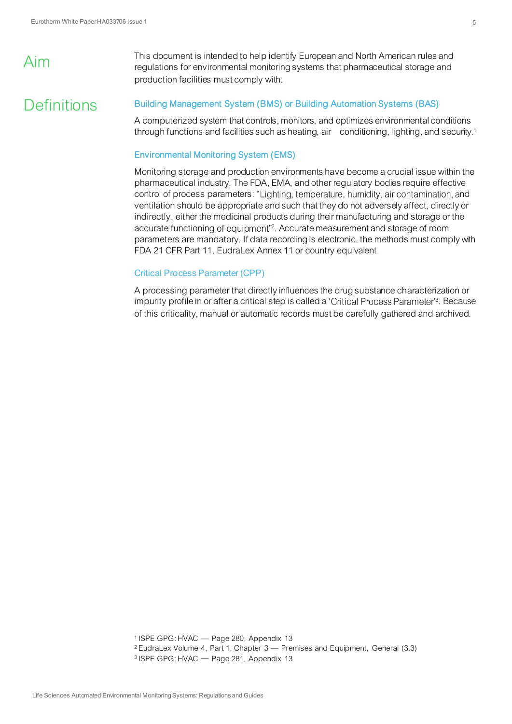# Aim

This document is intended to help identify European and North American rules and regulations for environmental monitoring systems that pharmaceutical storage and production facilities must comply with.

# **Definitions**

#### Building Management System (BMS) or Building Automation Systems (BAS)

A computerized system that controls, monitors, and optimizes environmental conditions through functions and facilities such as heating, air—conditioning, lighting, and security.<sup>1</sup>

## Environmental Monitoring System (EMS)

Monitoring storage and production environments have become a crucial issue within the pharmaceutical industry. The FDA, EMA, and other regulatory bodies require effective control of process parameters: "Lighting, temperature, humidity, air contamination, and ventilation should be appropriate and such that they do not adversely affect, directly or indirectly, either the medicinal products during their manufacturing and storage or the accurate functioning of equipment"<sup>2</sup>. Accurate measurement and storage of room parameters are mandatory. If data recording is electronic, the methods must comply with FDA 21 CFR Part 11, EudraLex Annex 11 or country equivalent.

#### Critical Process Parameter (CPP)

A processing parameter that directly influences the drug substance characterization or impurity profile in or after a critical step is called a 'Critical Process Parameter'<sup>3</sup>. Because of this criticality, manual or automatic records must be carefully gathered and archived.

 $1$  ISPE GPG: HVAC  $-$  Page 280, Appendix 13

- <sup>2</sup> EudraLex Volume 4, Part 1, Chapter  $3$  Premises and Equipment, General (3.3)
- <sup>3</sup> ISPE GPG: HVAC Page 281, Appendix 13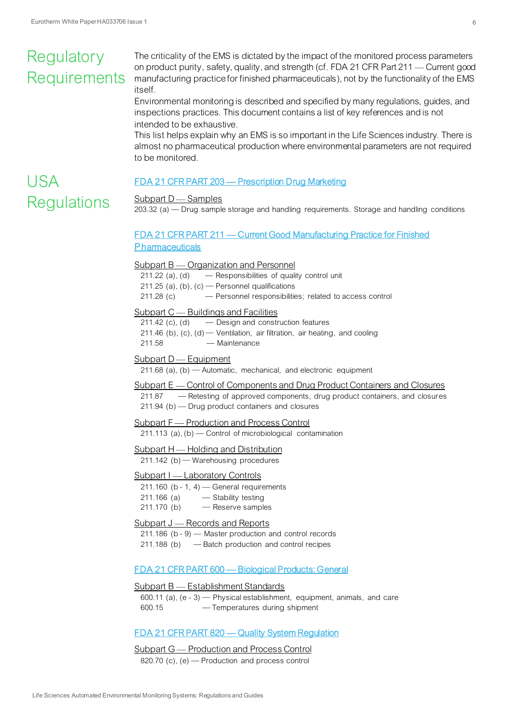# Regulatory **Requirements**

USA

**Regulations** 

The criticality of the EMS is dictated by the impact of the monitored process parameters on product purity, safety, quality, and strength (cf. FDA 21 CFR Part 211 – Current good manufacturing practice for finished pharmaceuticals), not by the functionality of the EMS itself.

Environmental monitoring is described and specified by many regulations, guides, and inspections practices. This document contains a list of key references and is not intended to be exhaustive.

This list helps explain why an EMS is so important in the Life Sciences industry. There is almost no pharmaceutical production where environmental parameters are not required to be monitored.

## <span id="page-5-0"></span>FDA 21 CFR PART 203 — [Prescription Drug Marketing](https://www.accessdata.fda.gov/scripts/cdrh/cfdocs/cfcfr/CFRSearch.cfm?CFRPart=203)

### $Subpart D - Samples$

 $203.32$  (a)  $-$  Drug sample storage and handling requirements. Storage and handling conditions

# <span id="page-5-1"></span>FDA 21 CFR PART 211 — [Current Good Manufacturing Practice for Finished](https://www.accessdata.fda.gov/scripts/cdrh/cfdocs/cfcfr/CFRSearch.cfm?CFRPart=211) **[P](https://www.accessdata.fda.gov/scripts/cdrh/cfdocs/cfcfr/CFRSearch.cfm?CFRPart=211)[harmaceuticals](https://www.accessdata.fda.gov/scripts/cdrh/cfdocs/cfcfr/CFRSearch.cfm?CFRPart=211)**

#### Subpart  $B$   $\sim$  Organization and Personnel

211.22 (a), (d)  $-$  Responsibilities of quality control unit

211.25 (a), (b), (c)  $-$  Personnel qualifications

211.28 (c) Personnel responsibilities; related to access control

#### Subpart  $C$   $-$  Buildings and Facilities

 $211.42$  (c), (d)  $-$  Design and construction features

- 211.46 (b),  $(c)$ ,  $(d)$  Ventilation, air filtration, air heating, and cooling
- 211.58 Maintenance

#### Subpart D — Equipment

211.68 (a), (b)  $-$  Automatic, mechanical, and electronic equipment

#### Subpart E — Control of Components and Drug Product Containers and Closures

211.87 - Retesting of approved components, drug product containers, and closures  $211.94$  (b)  $-$  Drug product containers and closures

### Subpart F — Production and Process Control

211.113 (a),  $(b)$  - Control of microbiological contamination

#### Subpart  $H$   $-$  Holding and Distribution

211.142 (b) - Warehousing procedures

#### Subpart I — Laboratory Controls

- 211.160 (b 1, 4)  $-$  General requirements
- 211.166 (a) Stability testing
- $211.170$  (b)  $-$  Reserve samples

#### Subpart J — Records and Reports

 $211.186$  (b - 9) – Master production and control records

 $211.188$  (b)  $-$  Batch production and control recipes

#### <span id="page-5-2"></span>FDA 21 CFR PART 600 — [Biological Products: General](https://www.accessdata.fda.gov/scripts/cdrh/cfdocs/cfcfr/CFRSearch.cfm?CFRPart=600)

#### $Subpart B — Establishment Standards$

600.11 (a),  $(e - 3)$  – Physical establishment, equipment, animals, and care 600.15 Temperatures during shipment

#### <span id="page-5-3"></span>FDA 21 CFR PART 820 — [Quality System Regulation](https://www.accessdata.fda.gov/scripts/cdrh/cfdocs/cfcfr/CFRSearch.cfm?CFRPart=820)

# Subpart G — Production and Process Control

820.70 (c),  $(e)$  – Production and process control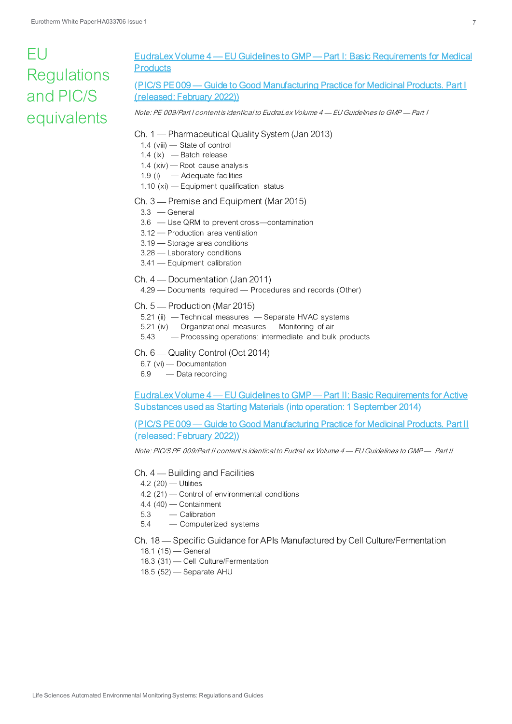# $FU$ **Regulations** and PIC/S equivalents

# <span id="page-6-0"></span>EudraLex Volume 4 — EU Guidelines to GMP — [Part I: Basic Requirements for Medical](https://ec.europa.eu/health/medicinal-products/eudralex/eudralex-volume-4_it#part-i---basic-requirements-for-medicinal-products)  **[Products](https://ec.europa.eu/health/medicinal-products/eudralex/eudralex-volume-4_it#part-i---basic-requirements-for-medicinal-products)**

# <span id="page-6-1"></span>(PIC/S PE 009 — [Guide to Good Manufacturing Practice for Medicinal Products. Part I](https://picscheme.org/docview/4588)  [\(released: February 2022\)](https://picscheme.org/docview/4588))

Note: PE 009/Part I contentis identical to EudraLex Volume 4 – EU Guidelines to GMP – Part I

#### Ch. 1 — Pharmaceutical Quality System (Jan 2013)

- 1.4 (viii) State of control
- 1.4 (ix)  $-$  Batch release
- 1.4 ( $xiv$ ) Root cause analysis
- 1.9 (i)  $-$  Adequate facilities
- 1.10 (xi) Equipment qualification status

#### Ch. 3 – Premise and Equipment (Mar 2015)

- $3.3$  General
- 3.6 Use QRM to prevent cross-contamination
- 3.12 Production area ventilation
- $3.19$   $-$  Storage area conditions
- 3.28 Laboratory conditions
- 3.41 Equipment calibration

#### Ch. 4 — Documentation (Jan 2011)

4.29 – Documents required – Procedures and records (Other)

Ch.  $5$  – Production (Mar 2015)

- 5.21 (ii) Technical measures Separate HVAC systems
- $5.21$  (iv)  $-$  Organizational measures  $-$  Monitoring of air
- 5.43 Processing operations: intermediate and bulk products

#### Ch. 6 - Quality Control (Oct 2014)

- 6.7 (vi)  $-$  Documentation
- 6.9 Data recording

<span id="page-6-2"></span>EudraLex Volume 4 — EU Guidelines to GMP — [Part II: Basic Requirements for Active](https://ec.europa.eu/health/system/files/2016-11/2014-08_gmp_part1_0.pdf)  [Substances used as Starting Materials \(into operation: 1 September 2014\)](https://ec.europa.eu/health/system/files/2016-11/2014-08_gmp_part1_0.pdf)

<span id="page-6-3"></span>(PIC/S PE 009 — [Guide to Good Manufacturing Practice for Medicinal Products. Part II](https://picscheme.org/docview/4589)  [\(released: February 2022\)](https://picscheme.org/docview/4589))

Note: PIC/S PE 009/Part II content is identical to EudraLex Volume 4 - EU Guidelines to GMP - Part II

#### $Ch. 4$  - Building and Facilities

#### $4.2$  (20)  $-$  Utilities

- 4.2 (21) Control of environmental conditions
- $4.4$  (40)  $-$  Containment
- 5.3 Calibration
- 5.4 Computerized systems

#### Ch. 18 - Specific Guidance for APIs Manufactured by Cell Culture/Fermentation

- 18.1  $(15)$  General
- 18.3 (31) Cell Culture/Fermentation
- $18.5$  (52)  $-$  Separate AHU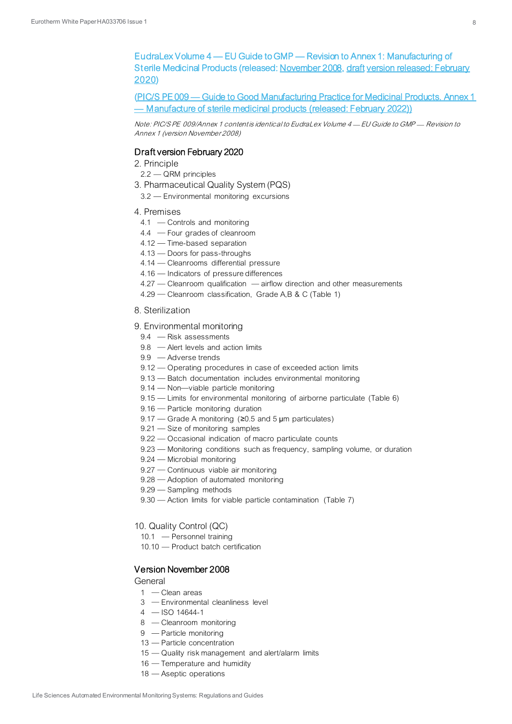<span id="page-7-0"></span>EudraLex Volume 4 — EU Guide to GMP — Revision to Annex 1: Manufacturing of Sterile Medicinal Products (released[: November 2008](https://ec.europa.eu/health/system/files/2016-11/2008_11_25_gmp-an1_en_0.pdf)[, draft version released: February](https://www.gmp-compliance.org/files/guidemgr/2020_annex1ps_sterile_medicinal_products_en.pdf)  [2020](https://www.gmp-compliance.org/files/guidemgr/2020_annex1ps_sterile_medicinal_products_en.pdf))

<span id="page-7-1"></span>(PIC/S PE 009 — [Guide to Good Manufacturing Practice for Medicinal Products. Annex 1](https://picscheme.org/docview/4590)  — [Manufacture of sterile medicinal products \(released: February 2022\)](https://picscheme.org/docview/4590))

Note: PIC/S PE 009/Annex 1 content is identical to EudraLex Volume 4 - EU Guide to GMP - Revision to Annex 1 (version November 2008)

#### Draft version February 2020

2. Principle

- $2.2 QRM$  principles
- 3. Pharmaceutical Quality System (PQS)
	- 3.2 Environmental monitoring excursions
- 4. Premises
	- 4.1 Controls and monitoring
	- 4.4 Four grades of cleanroom
	- 4.12 Time-based separation
	- $4.13$   $-$  Doors for pass-throughs
	- 4.14 Cleanrooms differential pressure
	- $4.16$   $-$  Indicators of pressure differences
	- $4.27$  Cleanroom qualification  $-$  airflow direction and other measurements
	- 4.29 Cleanroom classification, Grade A,B & C (Table 1)
- 8. Sterilization
- 9. Environmental monitoring
	- $9.4$  Risk assessments
	- $9.8$  Alert levels and action limits
	- 9.9 Adverse trends
	- 9.12 Operating procedures in case of exceeded action limits
	- 9.13 Batch documentation includes environmental monitoring
	- $9.14$  Non-viable particle monitoring
	- 9.15 Limits for environmental monitoring of airborne particulate (Table 6)
	- 9.16 Particle monitoring duration
	- 9.17 Grade A monitoring ( $\geq$ 0.5 and 5 µm particulates)
	- $9.21$  Size of monitoring samples
	- 9.22 Occasional indication of macro particulate counts
	- 9.23 Monitoring conditions such as frequency, sampling volume, or duration
	- 9.24 Microbial monitoring
	- 9.27 Continuous viable air monitoring
- 9.28 Adoption of automated monitoring
- $9.29$  Sampling methods
- 9.30 Action limits for viable particle contamination (Table 7)

#### 10. Quality Control (QC)

- 10.1 Personnel training
- 10.10 Product batch certification

#### Version November 2008

#### **General**

- $1 -$ Clean areas
- 3 Environmental cleanliness level
- $4 -$ ISO 14644-1
- 8 Cleanroom monitoring
- 9 Particle monitoring
- 13 Particle concentration
- 15 Quality risk management and alert/alarm limits
- $16$  Temperature and humidity
- $18$  Aseptic operations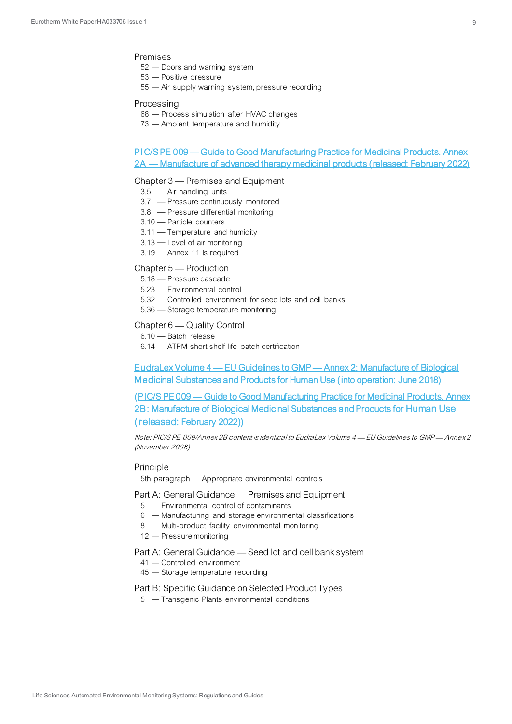#### Premises

- $52 -$  Doors and warning system
- $53$  Positive pressure
- 55 Air supply warning system, pressure recording

#### Processing

- 68 Process simulation after HVAC changes
- 73 Ambient temperature and humidity

### <span id="page-8-0"></span>PIC/S PE 009 — [Guide to Good Manufacturing Practice for Medicinal Products. Annex](https://picscheme.org/docview/4590)  2A — [Manufacture of advanced therapy medicinal products \(released: February 2022\)](https://picscheme.org/docview/4590)

#### Chapter 3 – Premises and Equipment

- $3.5$  Air handling units
- 3.7 Pressure continuously monitored
- $3.8$  Pressure differential monitoring
- $3.10$  Particle counters
- $3.11$  Temperature and humidity
- $3.13$  Level of air monitoring
- 3.19 Annex 11 is required

#### Chapter 5 – Production

- 5.18 Pressure cascade
- 5.23 Environmental control
- 5.32 Controlled environment for seed lots and cell banks
- $5.36$   $-$  Storage temperature monitoring

#### Chapter 6 — Quality Control

- $6.10$  Batch release
- $6.14$  ATPM short shelf life batch certification

<span id="page-8-1"></span>EudraLex Volume 4 — EU Guidelines to GMP — [Annex 2: Manufacture of Biological](https://ec.europa.eu/health/system/files/2019-02/2018_annex2_en_0.pdf)  [Medicinal Substances and Products for Human Use \(into operation: June 2018\)](https://ec.europa.eu/health/system/files/2019-02/2018_annex2_en_0.pdf)

<span id="page-8-2"></span>(PIC/S PE 009 — [Guide to Good Manufacturing Practice for Medicinal Products. Annex](https://picscheme.org/docview/4590)  [2B: Manufacture of Biological Medicinal Substances and Products for](https://picscheme.org/docview/4590) Human Use (released: [February 2022](https://picscheme.org/docview/4590)))

Note: PIC/S PE 009/Annex 2B content is identical to EudraLex Volume 4 - EU Guidelines to GMP- Annex 2 (November 2008)

#### **Principle**

5th paragraph - Appropriate environmental controls

Part A: General Guidance — Premises and Equipment

- 5 Environmental control of contaminants
- 6 Manufacturing and storage environmental classifications
- 8 Multi-product facility environmental monitoring
- $12$  Pressure monitoring

Part A: General Guidance - Seed lot and cell bank system

- 41 Controlled environment
- $45 -$ Storage temperature recording

Part B: Specific Guidance on Selected Product Types

 $5 -$ Transgenic Plants environmental conditions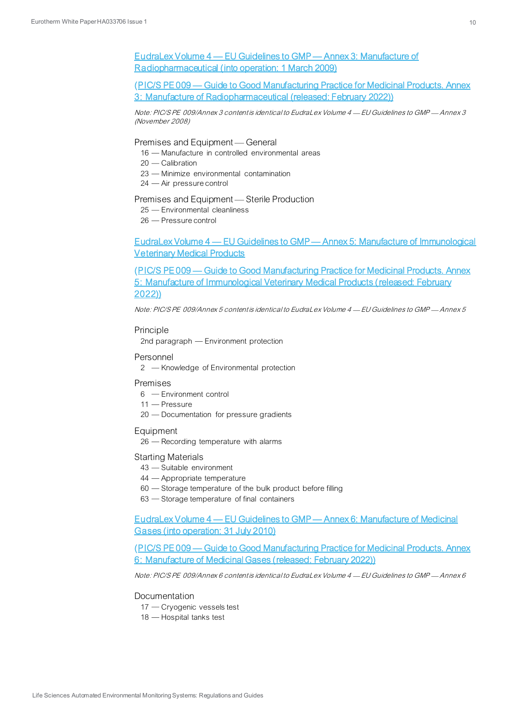# <span id="page-9-0"></span>EudraLex Volume 4 — EU Guidelines to GMP — [Annex 3: Manufacture of](https://ec.europa.eu/health/system/files/2016-11/2008_09_annex3_en_0.pdf)  [Radiopharmaceutical \(into operation: 1 March 2009\)](https://ec.europa.eu/health/system/files/2016-11/2008_09_annex3_en_0.pdf)

<span id="page-9-1"></span>(PIC/S PE 009 — [Guide to Good Manufacturing Practice for Medicinal Products. Annex](https://picscheme.org/docview/4590)  [3: Manufacture of Radiopharmaceutical \(released: February 2022\)](https://picscheme.org/docview/4590))

Note: PIC/S PE 009/Annex 3 content is identical to EudraLex Volume 4 - EU Guidelines to GMP - Annex 3 (November 2008)

#### Premises and Equipment — General

- 16 Manufacture in controlled environmental areas
- 20 Calibration
- 23 Minimize environmental contamination
- 24 Air pressure control

#### Premises and Equipment - Sterile Production

- 25 Environmental cleanliness
- 26 Pressure control

## <span id="page-9-2"></span>EudraLex Volume 4 — EU Guidelines to GMP — [Annex 5: Manufacture of Immunological](https://ec.europa.eu/health/system/files/2016-11/anx05en200408_en_0.pdf)  [Veterinary Medical Products](https://ec.europa.eu/health/system/files/2016-11/anx05en200408_en_0.pdf)

<span id="page-9-3"></span>(PIC/S PE 009 — [Guide to Good Manufacturing Practice for Medicinal Products. Annex](https://picscheme.org/docview/4590)  [5: Manufacture of Immunological Veterinary Medical Products \(released: February](https://picscheme.org/docview/4590)  [2022\)](https://picscheme.org/docview/4590))

Note: PIC/S PE 009/Annex 5 content is identical to EudraLex Volume 4 EU Guidelines to GMP Annex 5

#### Principle

2nd paragraph - Environment protection

#### Personnel

2 - Knowledge of Environmental protection

#### Premises

- 6 Environment control
- 11 Pressure
- 20 Documentation for pressure gradients

#### Equipment

 $26$  – Recording temperature with alarms

#### Starting Materials

- 43 Suitable environment
- 44 Appropriate temperature
- 60 Storage temperature of the bulk product before filling
- $63$   $-$  Storage temperature of final containers

<span id="page-9-4"></span>EudraLex Volume 4 — EU Guidelines to GMP — [Annex 6: Manufacture of Medicinal](https://ec.europa.eu/health/system/files/2016-11/2009_07_annex6_0.pdf)  [Gases \(into operation: 31 July 2010\)](https://ec.europa.eu/health/system/files/2016-11/2009_07_annex6_0.pdf)

<span id="page-9-5"></span>(PIC/S PE 009 — [Guide to Good Manufacturing Practice for Medicinal Products. Annex](https://picscheme.org/docview/4590)  [6: Manufacture of Medicinal Gases \(released: February 2022\)](https://picscheme.org/docview/4590))

Note: PIC/S PE 009/Annex 6 content is identical to EudraLex Volume  $4$  - EU Guidelines to GMP - Annex 6

#### **Documentation**

- 17 Cryogenic vessels test
- $18$  Hospital tanks test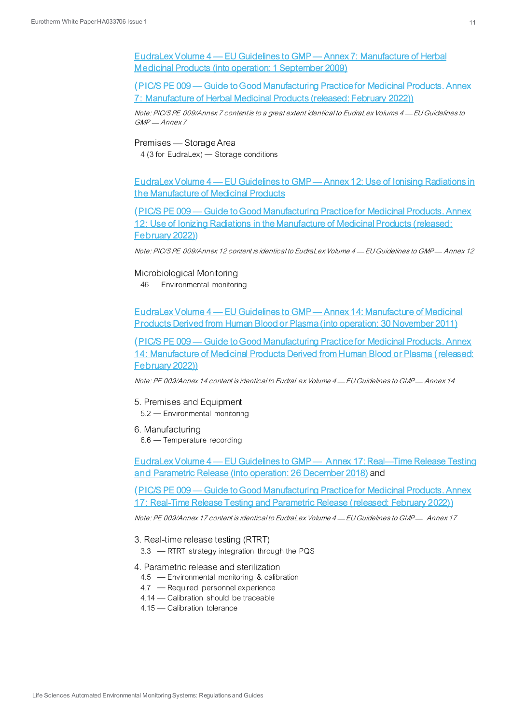<span id="page-10-0"></span>EudraLex Volume 4 — EU Guidelines to GMP — [Annex 7: Manufacture of Herbal](https://ec.europa.eu/health/system/files/2016-11/vol4_an7_2008_09_en_0.pdf)  [Medicinal Products \(into operation: 1 September 2009\)](https://ec.europa.eu/health/system/files/2016-11/vol4_an7_2008_09_en_0.pdf)

<span id="page-10-1"></span>(PIC/S PE 009 — [Guide to Good Manufacturing Practice for Medicinal Products. Annex](https://picscheme.org/docview/4590)  [7: Manufacture of Herbal Medicinal Products \(released: February 2022\)\)](https://picscheme.org/docview/4590)

Note: PIC/S PE 009/Annex 7 contentis to a great extent identical to EudraLex Volume 4 - EU Guidelines to GMP - Annex 7

#### Premises - Storage Area

4 (3 for EudraLex) - Storage conditions

<span id="page-10-2"></span>EudraLex Volume 4 — EU Guidelines to GMP — [Annex 12: Use of Ionising Radiations in](https://ec.europa.eu/health/system/files/2016-11/anx12_en_0.pdf)  [the Manufacture of Medicinal Products](https://ec.europa.eu/health/system/files/2016-11/anx12_en_0.pdf)

<span id="page-10-3"></span>(PIC/S PE 009 — [Guide to Good Manufacturing Practice for Medicinal Products. Annex](https://picscheme.org/docview/4590)  12: Use of Ionizing Radiations in the Manufacture of Medicinal Products (released: [February 2022\)](https://picscheme.org/docview/4590))

Note: PIC/S PE 009/Annex 12 content is identical to Eudral ex Volume 4 - EU Guidelines to GMP - Annex 12

#### Microbiological Monitoring

46 Environmental monitoring

<span id="page-10-4"></span>EudraLex Volume 4 — EU Guidelines to GMP — [Annex 14: Manufacture of Medicinal](https://ec.europa.eu/health/system/files/2016-11/annex14_rev30-03_2011_en_0.pdf)  [Products Derived from Human Blood or Plasma \(into operation: 30 November 2011\)](https://ec.europa.eu/health/system/files/2016-11/annex14_rev30-03_2011_en_0.pdf)

<span id="page-10-5"></span>(PIC/S PE 009 — [Guide to Good Manufacturing Practice for Medicinal Products. Annex](https://picscheme.org/docview/4590)  [14: Manufacture of Medicinal Products Derived from Human Blood or Plasma \(released:](https://picscheme.org/docview/4590)  [February 2022\)](https://picscheme.org/docview/4590))

Note: PE 009/Annex 14 content is identical to EudraLex Volume 4 EU Guidelines to GMP Annex 14

#### 5. Premises and Equipment

5.2 Environmental monitoring

#### 6. Manufacturing

 $6.6$  – Temperature recording

<span id="page-10-6"></span>EudraLex Volume 4 — [EU Guidelines to GMP](https://ec.europa.eu/health/system/files/2018-06/2018_annex17_en_0.pdf) — Annex 17: Real—Time Release Testing [and Parametric Release \(into operation: 26 December 2018\)](https://ec.europa.eu/health/system/files/2018-06/2018_annex17_en_0.pdf) and

<span id="page-10-7"></span>(PIC/S PE 009 — [Guide to Good Manufacturing Practice for Medicinal Products. Annex](https://picscheme.org/docview/4590)  [17: Real-Time Release Testing and Parametric Release \(released: February 2022\)\)](https://picscheme.org/docview/4590)

Note: PE 009/Annex 17 content is identical to EudraLex Volume 4 - EU Guidelines to GMP- Annex 17

- 3. Real-time release testing (RTRT)
	- $3.3$  RTRT strategy integration through the PQS

#### 4. Parametric release and sterilization

- 4.5 Environmental monitoring & calibration
- 4.7 Required personnel experience
- 4.14 Calibration should be traceable
- 4.15 Calibration tolerance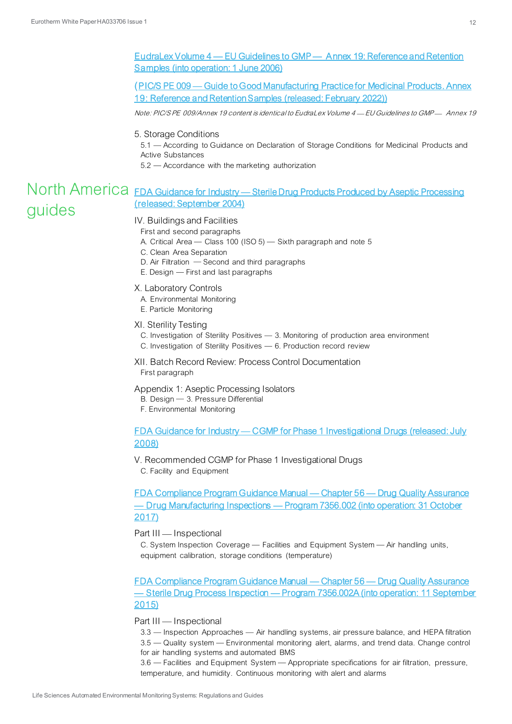<span id="page-11-0"></span>EudraLex Volume 4 — EU Guidelines to GMP — [Annex 19: Reference and Retention](https://ec.europa.eu/health/system/files/2016-11/2005_12_14_annex19_en_0.pdf)  [Samples \(into operation: 1 June 2006\)](https://ec.europa.eu/health/system/files/2016-11/2005_12_14_annex19_en_0.pdf)

<span id="page-11-1"></span>(PIC/S PE 009 — [Guide to Good Manufacturing Practice for Medicinal Products. Annex](https://picscheme.org/docview/4590)  [19: Reference and Retention Samples \(released: February 2022\)](https://picscheme.org/docview/4590))

Note: PIC/S PE 009/Annex 19 content is identical to EudraLex Volume 4 - EU Guidelines to GMP - Annex 19

#### 5. Storage Conditions

5.1 According to Guidance on Declaration of Storage Conditions for Medicinal Products and Active Substances

<span id="page-11-2"></span>5.2 Accordance with the marketing authorization

# North America FDA Guidance for Industry - Sterile Drug Products Produced by Aseptic Processing [\(released: September 2004\)](https://www.fda.gov/media/71026/download) guides

#### IV. Buildings and Facilities

First and second paragraphs

- A. Critical Area  $-$  Class 100 (ISO 5)  $-$  Sixth paragraph and note 5
- C. Clean Area Separation
- D. Air Filtration  $-$  Second and third paragraphs
- $E.$  Design  $-$  First and last paragraphs

#### X. Laboratory Controls

- A. Environmental Monitoring
- E. Particle Monitoring

#### XI. Sterility Testing

C. Investigation of Sterility Positives  $-$  3. Monitoring of production area environment

- C. Investigation of Sterility Positives  $-6$ . Production record review
- XII. Batch Record Review: Process Control Documentation First paragraph

#### Appendix 1: Aseptic Processing Isolators

- B. Design 3. Pressure Differential
- F. Environmental Monitoring

# <span id="page-11-3"></span>FDA Guidance for Industry — [CGMP for Phase 1 Investigational Drugs \(released: July](https://www.fda.gov/media/70975/download)  [2008\)](https://www.fda.gov/media/70975/download)

#### V. Recommended CGMP for Phase 1 Investigational Drugs

C. Facility and Equipment

<span id="page-11-4"></span>[FDA Compliance Program Guidance Manual](https://www.fda.gov/media/75167/download) — Chapter 56 — Drug Quality Assurance — Drug Manufacturing Inspections — [Program 7356.002 \(into operation: 31 October](https://www.fda.gov/media/75167/download)  [2017\)](https://www.fda.gov/media/75167/download) 

#### Part III - Inspectional

C. System Inspection Coverage — Facilities and Equipment System — Air handling units, equipment calibration, storage conditions (temperature)

<span id="page-11-5"></span>[FDA Compliance Program Guidance Manual](https://www.fda.gov/media/75174/download) — Chapter 56 — Drug Quality Assurance — Sterile Drug Process Inspection — [Program 7356.002A \(into operation: 11 September](https://www.fda.gov/media/75174/download)  [2015\)](https://www.fda.gov/media/75174/download)

#### Part III - Inspectional

3.3 — Inspection Approaches — Air handling systems, air pressure balance, and HEPA filtration 3.5 — Quality system — Environmental monitoring alert, alarms, and trend data. Change control for air handling systems and automated BMS

3.6 Facilities and Equipment System Appropriate specifications for air filtration, pressure, temperature, and humidity. Continuous monitoring with alert and alarms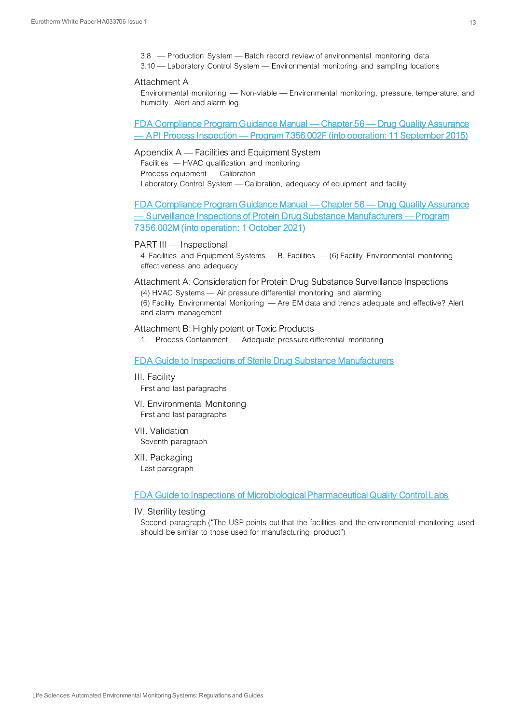- $3.8$  Production System Batch record review of environmental monitoring data
- 3.10 Laboratory Control System Environmental monitoring and sampling locations

#### Attachment A

Environmental monitoring - Non-viable - Environmental monitoring, pressure, temperature, and humidity. Alert and alarm log.

## <span id="page-12-0"></span>[FDA Compliance Program Guidance Manual](https://www.fda.gov/media/75201/download) — Chapter 56 — Drug Quality Assurance — API Process Inspection — [Program 7356.002F \(into operation: 11 September 2015\)](https://www.fda.gov/media/75201/download)

# Appendix A - Facilities and Equipment System

Facilities  $-$  HVAC qualification and monitoring Process equipment - Calibration Laboratory Control System - Calibration, adequacy of equipment and facility

<span id="page-12-1"></span>[FDA Compliance Program Guidance Manual](https://www.fda.gov/media/151769/download) — Chapter 56 — Drug Quality Assurance — [Surveillance Inspections of Protein Drug Substance Manufacturers](https://www.fda.gov/media/151769/download) — Program [7356.002M \(into operation: 1 October 2021\)](https://www.fda.gov/media/151769/download)

#### PART III - Inspectional

4. Facilities and Equipment Systems  $-B$ . Facilities  $-(6)$  Facility Environmental monitoring effectiveness and adequacy

Attachment A: Consideration for Protein Drug Substance Surveillance Inspections (4) HVAC Systems - Air pressure differential monitoring and alarming

(6) Facility Environmental Monitoring - Are EM data and trends adequate and effective? Alert and alarm management

#### Attachment B: Highly potent or Toxic Products

1. Process Containment - Adequate pressure differential monitoring

#### <span id="page-12-2"></span>[FDA Guide to Inspections of Sterile Drug Substance Manufacturers](https://www.fda.gov/inspections-compliance-enforcement-and-criminal-investigations/inspection-guides/sterile-drug-substance-manufacturers-794)

- III. Facility First and last paragraphs
- VI. Environmental Monitoring First and last paragraphs
- VII. Validation Seventh paragraph
- XII. Packaging Last paragraph

#### <span id="page-12-3"></span>[FDA Guide to Inspections of Microbiological Pharmaceutical Quality Control Labs](https://www.fda.gov/inspections-compliance-enforcement-and-criminal-investigations/inspection-guides/pharmaceutical-quality-control-labs-793)

#### IV. Sterility testing

Second paragraph ("The USP points out that the facilities and the environmental monitoring used should be similar to those used for manufacturing product")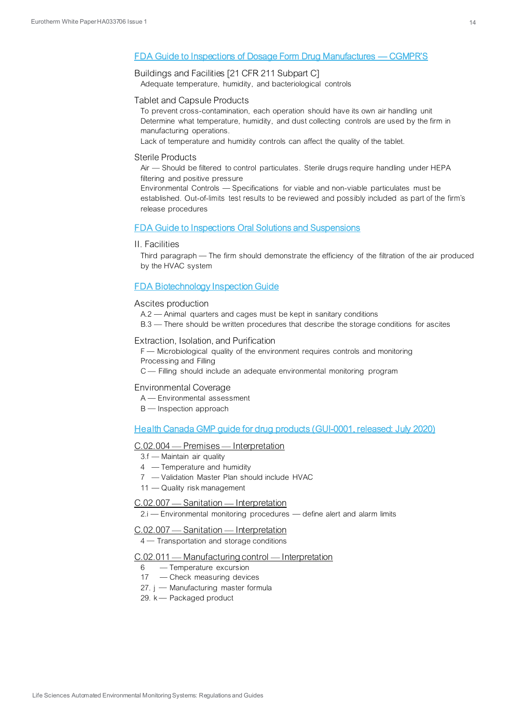#### <span id="page-13-0"></span>[FDA Guide to Inspections of Dosage Form Drug Manufactures](https://www.fda.gov/inspections-compliance-enforcement-and-criminal-investigations/inspection-guides/dosage-form-drug-manufacturers-cgmps-1093) — CGMPR'S

# Buildings and Facilities [21 CFR 211 Subpart C]

Adequate temperature, humidity, and bacteriological controls

#### Tablet and Capsule Products

To prevent cross-contamination, each operation should have its own air handling unit Determine what temperature, humidity, and dust collecting controls are used by the firm in manufacturing operations.

Lack of temperature and humidity controls can affect the quality of the tablet.

#### Sterile Products

Air – Should be filtered to control particulates. Sterile drugs require handling under HEPA filtering and positive pressure

Environmental Controls  $-$  Specifications for viable and non-viable particulates must be established. Out-of-limits test results to be reviewed and possibly included as part of the firm's release procedures

#### <span id="page-13-1"></span>[FDA Guide to Inspections Oral Solutions and Suspensions](https://www.fda.gov/inspections-compliance-enforcement-and-criminal-investigations/inspection-guides/oral-solutions-and-suspensions-894)

#### II. Facilities

Third paragraph – The firm should demonstrate the efficiency of the filtration of the air produced by the HVAC system

#### <span id="page-13-2"></span>[FDA Biotechnology Inspection Guide](https://www.fda.gov/inspections-compliance-enforcement-and-criminal-investigations/inspection-guides/biotechnology-inspection-guide-1191)

#### Ascites production

- A.2 Animal quarters and cages must be kept in sanitary conditions
- B.3 There should be written procedures that describe the storage conditions for ascites

#### Extraction, Isolation, and Purification

- F Microbiological quality of the environment requires controls and monitoring Processing and Filling
- C Filling should include an adequate environmental monitoring program

#### Environmental Coverage

- A Environmental assessment
- B Inspection approach

<span id="page-13-3"></span>[Health Canada GMP guide for drug products \(GUI-0001, released: July 2020\)](https://www.canada.ca/en/health-canada/services/drugs-health-products/compliance-enforcement/good-manufacturing-practices/guidance-documents/gmp-guidelines-0001.html)

#### C.02.004 – Premises – Interpretation

- $3.f$  Maintain air quality
- 4 Temperature and humidity
- 7 Validation Master Plan should include HVAC
- 11 Quality risk management

#### C.02.007 - Sanitation - Interpretation

 $2.i$  - Environmental monitoring procedures - define alert and alarm limits

#### C.02.007 - Sanitation - Interpretation

4 - Transportation and storage conditions

#### $C.02.011$  — Manufacturing control — Interpretation

- $6 -$ Temperature excursion
- 17 Check measuring devices
- 27. j Manufacturing master formula
- 29.  $k$  Packaged product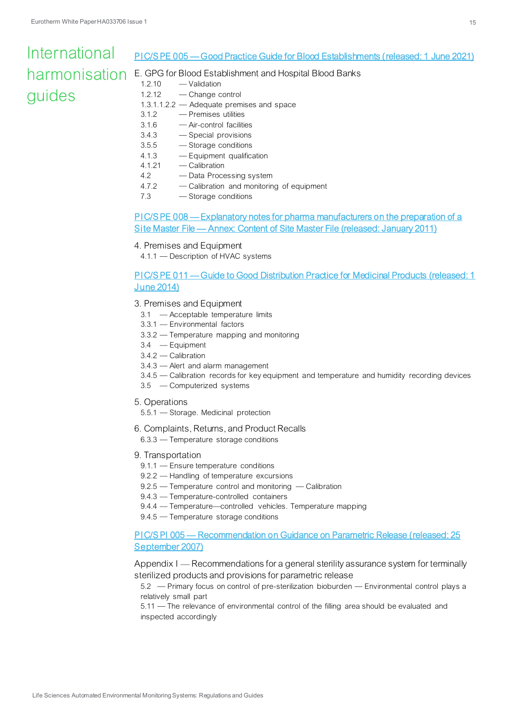## International PIC/S PE 005 — [Good Practice Guide for Blood Establishments \(released: 1 June 2021\)](https://picscheme.org/docview/4212) harmonisation E. GPG for Blood Establishment and Hospital Blood Banks 1.2.10 - Validation guides 1.2.12 Change control

- <span id="page-14-0"></span>1.3.1.1.2.2 Adequate premises and space
- 3.1.2 Premises utilities
- 3.1.6 Air-control facilities
- 3.4.3 Special provisions
- $3.5.5$  -Storage conditions
- 4.1.3 Equipment qualification
- 4.1.21 Calibration
- 4.2 Data Processing system
- 4.7.2 Calibration and monitoring of equipment
- 7.3 Storage conditions

# <span id="page-14-1"></span>PIC/S PE 008 — [Explanatory notes for pharma manufacturers on the preparation of a](https://picscheme.org/docview/3463)  Site Master File — [Annex: Content of Site Master File \(released: January 2011\)](https://picscheme.org/docview/3463)

# 4. Premises and Equipment

4.1.1 – Description of HVAC systems

<span id="page-14-2"></span>PIC/S PE 011 — [Guide to Good Distribution Practice for Medicinal Products \(released: 1](https://picscheme.org/docview/3450)  [June 2014\)](https://picscheme.org/docview/3450)

# 3. Premises and Equipment

- 3.1 Acceptable temperature limits
- 3.3.1 Environmental factors
- $3.3.2$  Temperature mapping and monitoring
- $3.4 -$ Equipment
- 3.4.2 Calibration
- $3.4.3$   $-$  Alert and alarm management
- 3.4.5 Calibration records for key equipment and temperature and humidity recording devices
- 3.5 Computerized systems
- 5. Operations
	- $5.5.1$   $-$  Storage. Medicinal protection
- 6. Complaints, Returns, and Product Recalls
	- $6.3.3$  Temperature storage conditions
- 9. Transportation
	- 9.1.1 Ensure temperature conditions
	- 9.2.2 Handling of temperature excursions
	- $9.2.5$  Temperature control and monitoring Calibration
	- 9.4.3 Temperature-controlled containers
	- 9.4.4 Temperature controlled vehicles. Temperature mapping
	- 9.4.5 Temperature storage conditions

<span id="page-14-3"></span>PIC/S PI 005 - Recommendation on Guidance on Parametric Release (released: 25 [September 2007\)](https://picscheme.org/docview/3448)

Appendix  $I$  - Recommendations for a general sterility assurance system for terminally sterilized products and provisions for parametric release

5.2 Primary focus on control of pre-sterilization bioburden Environmental control plays a relatively small part

5.11 The relevance of environmental control of the filling area should be evaluated and inspected accordingly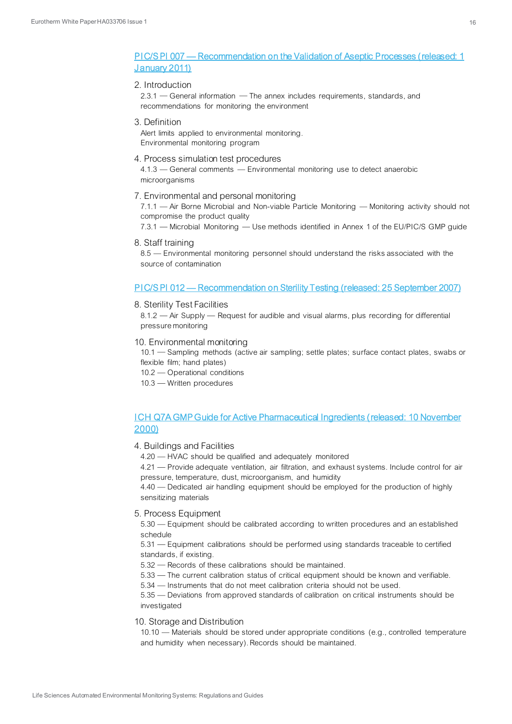### <span id="page-15-0"></span>PIC/S PI 007 — [Recommendation on the Validation of Aseptic Processes \(released: 1](https://picscheme.org/docview/3446)  [January 2011\)](https://picscheme.org/docview/3446)

#### 2. Introduction

2.3.1 – General information – The annex includes requirements, standards, and recommendations for monitoring the environment

#### 3. Definition

Alert limits applied to environmental monitoring. Environmental monitoring program

#### 4. Process simulation test procedures

4.1.3 – General comments – Environmental monitoring use to detect anaerobic microorganisms

7. Environmental and personal monitoring

 $7.1.1 -$  Air Borne Microbial and Non-viable Particle Monitoring  $-$  Monitoring activity should not compromise the product quality

7.3.1 – Microbial Monitoring – Use methods identified in Annex 1 of the EU/PIC/S GMP guide

8. Staff training

8.5 Environmental monitoring personnel should understand the risks associated with the source of contamination

#### <span id="page-15-1"></span>PIC/S PI 012 — [Recommendation on Sterility Testing \(released: 25 September 2007\)](https://picscheme.org/docview/3442)

#### 8. Sterility Test Facilities

 $8.1.2$  – Air Supply – Request for audible and visual alarms, plus recording for differential pressure monitoring

10. Environmental monitoring

10.1 - Sampling methods (active air sampling; settle plates; surface contact plates, swabs or flexible film; hand plates)

- 10.2 Operational conditions
- 10.3 Written procedures

#### <span id="page-15-2"></span>[ICH Q7A GMP Guide for Active Pharmaceutical Ingredients \(released: 10 November](https://database.ich.org/sites/default/files/Q7%20Guideline.pdf)  [2000\)](https://database.ich.org/sites/default/files/Q7%20Guideline.pdf)

#### 4. Buildings and Facilities

4.20 HVAC should be qualified and adequately monitored

4.21 – Provide adequate ventilation, air filtration, and exhaust systems. Include control for air pressure, temperature, dust, microorganism, and humidity

 $4.40$   $-$  Dedicated air handling equipment should be employed for the production of highly sensitizing materials

#### 5. Process Equipment

5.30 Equipment should be calibrated according to written procedures and an established schedule

5.31 Equipment calibrations should be performed using standards traceable to certified standards, if existing.

5.32 Records of these calibrations should be maintained.

 $5.33$   $-$  The current calibration status of critical equipment should be known and verifiable.

5.34 - Instruments that do not meet calibration criteria should not be used.

5.35 – Deviations from approved standards of calibration on critical instruments should be investigated

#### 10. Storage and Distribution

10.10 Materials should be stored under appropriate conditions (e.g., controlled temperature and humidity when necessary). Records should be maintained.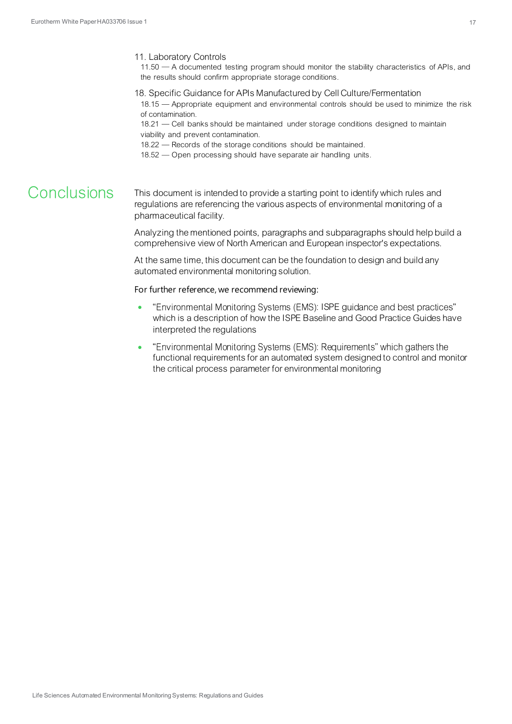#### 11. Laboratory Controls

 $11.50 - A$  documented testing program should monitor the stability characteristics of APIs, and the results should confirm appropriate storage conditions.

18. Specific Guidance for APIs Manufactured by Cell Culture/Fermentation

18.15 Appropriate equipment and environmental controls should be used to minimize the risk of contamination.

18.21 - Cell banks should be maintained under storage conditions designed to maintain viability and prevent contamination.

18.22 – Records of the storage conditions should be maintained.

18.52 - Open processing should have separate air handling units.

# Conclusions

This document is intended to provide a starting point to identify which rules and regulations are referencing the various aspects of environmental monitoring of a pharmaceutical facility.

Analyzing the mentioned points, paragraphs and subparagraphs should help build a comprehensive view of North American and European inspector's expectations.

At the same time, this document can be the foundation to design and build any automated environmental monitoring solution.

For further reference, we recommend reviewing:

- "Environmental Monitoring Systems (EMS): ISPE guidance and best practices" which is a description of how the ISPE Baseline and Good Practice Guides have interpreted the regulations
- "Environmental Monitoring Systems (EMS): Requirements" which gathers the functional requirements for an automated system designed to control and monitor the critical process parameter for environmental monitoring